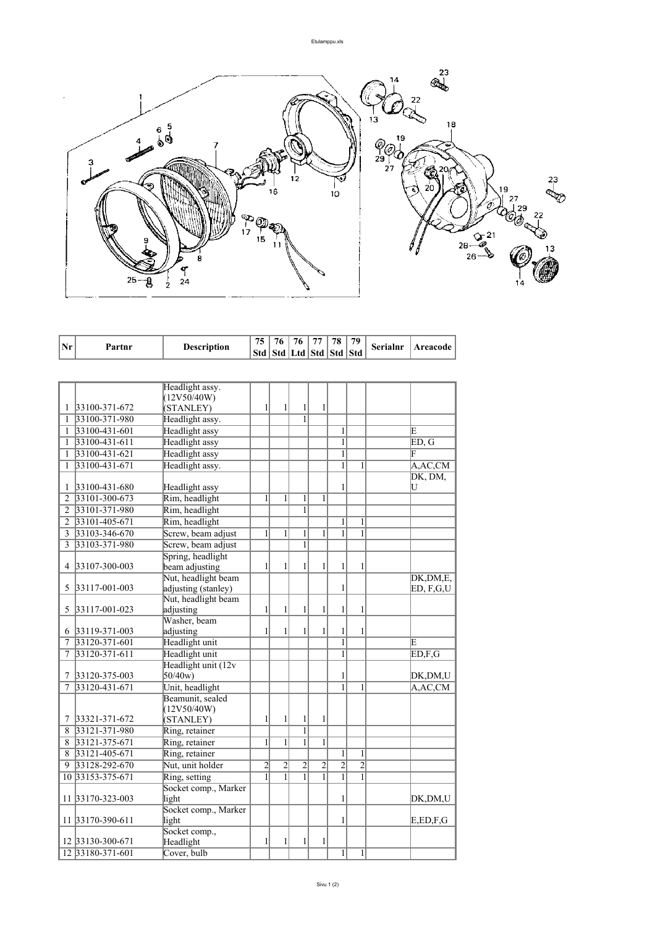

| Std  <br>Std   Ltd   Std   Std  <br><b>Std</b><br>Headlight assy.<br>(12V50/40W)<br>1<br>1<br>$\mathbf{1}$<br>33100-371-672<br>(STANLEY)<br>1<br>1<br>$\overline{1}$<br>33100-371-980<br>Headlight assy.<br>1<br>33100-431-601<br>Headlight assy<br>1<br>E<br>1<br><b>Headlight</b> assy<br>$\mathbf{1}$<br>33100-431-611<br>ED, G<br>1<br><b>Headlight</b> assy<br>$\mathbf{1}$<br>F<br>33100-431-621<br>1<br>Headlight assy.<br>A, AC, CM<br>33100-431-671<br>1<br>1<br>1<br>DK, DM,<br>33100-431-680<br>Headlight assy<br>U<br>1<br>1<br>Rim, headlight<br>1<br>1<br>$\mathbf{1}$<br>33101-300-673<br>1<br>2<br>$\overline{1}$<br>33101-371-980<br>Rim, headlight<br>$\overline{2}$<br>33101-405-671<br>Rim, headlight<br>$\mathbf{1}$<br>$\overline{2}$<br>1<br>$\mathbf{1}$<br>$\mathbf{1}$<br>$\mathbf{1}$<br>$\mathbf{1}$<br>$\mathbf{1}$<br>$\mathbf{1}$<br>3<br>33103-346-670<br>Screw, beam adjust<br>$\overline{1}$<br>3<br>33103-371-980<br>Screw, beam adjust<br>Spring, headlight<br>$\mathbf{1}$<br>$\mathbf{1}$<br>$\mathbf{1}$<br>$\mathbf{1}$<br>33107-300-003<br>beam adjusting<br>1<br>1<br>4<br>Nut, headlight beam<br>DK,DM,E,<br>33117-001-003<br>adjusting (stanley)<br>1<br>5<br>ED, F,G,U<br>Nut, headlight beam<br>$\mathbf{1}$<br>1<br>$\mathbf{1}$<br>1<br>$\mathbf{1}$<br>33117-001-023<br>1<br>5<br>adjusting<br>Washer, beam<br>1<br>1<br>6 33119-371-003<br>adjusting<br>1<br>1<br>1<br>1<br>33120-371-601<br>Headlight unit<br>1<br>E<br>7<br>$\overline{1}$<br>33120-371-611<br>Headlight unit<br>ED, F, G<br>7<br>Headlight unit (12v<br>33120-375-003<br>50/40w<br>1<br>DK,DM,U<br>7<br>33120-431-671<br>Unit, headlight<br>$\mathbf{1}$<br>$\mathbf{1}$<br>A, AC, CM<br>7<br>Beamunit, sealed<br>(12V50/40W)<br>33321-371-672<br>1<br>1<br>7<br>(STANLEY)<br>1<br>1<br>$\overline{1}$<br>33121-371-980<br>Ring, retainer<br>8<br>$\overline{1}$<br>$\overline{1}$<br>$\mathbf{1}$<br>8<br>33121-375-671<br>$\mathbf{1}$<br>Ring, retainer<br>8<br>33121-405-671<br>Ring, retainer<br>1<br>$\mathbf{1}$<br>$\overline{2}$<br>$\overline{2}$<br>$\overline{2}$<br>$\overline{c}$<br>$\overline{2}$<br>$\overline{2}$<br>33128-292-670<br>Nut, unit holder<br>9<br>$\overline{1}$<br>$\overline{1}$<br>10 33153-375-671<br>Ring, setting<br>1<br>1<br>1<br>1<br>Socket comp., Marker<br>11 33170-323-003<br>light<br>1<br>DK,DM,U<br>Socket comp., Marker<br>11 33170-390-611<br>E, ED, F, G<br>light<br>1<br>Socket comp.,<br>Headlight<br>$\mathbf{1}$<br>$\mathbf{1}$<br>$\mathbf{1}$<br>12 33130-300-671<br>1 | Nr |                  |                    | 75 | 76 | 76 | 77 | 78 | 79           | <b>Serialnr</b> | <b>Areacode</b> |
|------------------------------------------------------------------------------------------------------------------------------------------------------------------------------------------------------------------------------------------------------------------------------------------------------------------------------------------------------------------------------------------------------------------------------------------------------------------------------------------------------------------------------------------------------------------------------------------------------------------------------------------------------------------------------------------------------------------------------------------------------------------------------------------------------------------------------------------------------------------------------------------------------------------------------------------------------------------------------------------------------------------------------------------------------------------------------------------------------------------------------------------------------------------------------------------------------------------------------------------------------------------------------------------------------------------------------------------------------------------------------------------------------------------------------------------------------------------------------------------------------------------------------------------------------------------------------------------------------------------------------------------------------------------------------------------------------------------------------------------------------------------------------------------------------------------------------------------------------------------------------------------------------------------------------------------------------------------------------------------------------------------------------------------------------------------------------------------------------------------------------------------------------------------------------------------------------------------------------------------------------------------------------------------------------------------------------------------------------------------------------------------------------------------------------------------------------------------------------------------------------------------------------------------------------|----|------------------|--------------------|----|----|----|----|----|--------------|-----------------|-----------------|
|                                                                                                                                                                                                                                                                                                                                                                                                                                                                                                                                                                                                                                                                                                                                                                                                                                                                                                                                                                                                                                                                                                                                                                                                                                                                                                                                                                                                                                                                                                                                                                                                                                                                                                                                                                                                                                                                                                                                                                                                                                                                                                                                                                                                                                                                                                                                                                                                                                                                                                                                                      |    | Partnr           | <b>Description</b> |    |    |    |    |    |              |                 |                 |
|                                                                                                                                                                                                                                                                                                                                                                                                                                                                                                                                                                                                                                                                                                                                                                                                                                                                                                                                                                                                                                                                                                                                                                                                                                                                                                                                                                                                                                                                                                                                                                                                                                                                                                                                                                                                                                                                                                                                                                                                                                                                                                                                                                                                                                                                                                                                                                                                                                                                                                                                                      |    |                  |                    |    |    |    |    |    |              |                 |                 |
|                                                                                                                                                                                                                                                                                                                                                                                                                                                                                                                                                                                                                                                                                                                                                                                                                                                                                                                                                                                                                                                                                                                                                                                                                                                                                                                                                                                                                                                                                                                                                                                                                                                                                                                                                                                                                                                                                                                                                                                                                                                                                                                                                                                                                                                                                                                                                                                                                                                                                                                                                      |    |                  |                    |    |    |    |    |    |              |                 |                 |
|                                                                                                                                                                                                                                                                                                                                                                                                                                                                                                                                                                                                                                                                                                                                                                                                                                                                                                                                                                                                                                                                                                                                                                                                                                                                                                                                                                                                                                                                                                                                                                                                                                                                                                                                                                                                                                                                                                                                                                                                                                                                                                                                                                                                                                                                                                                                                                                                                                                                                                                                                      |    |                  |                    |    |    |    |    |    |              |                 |                 |
|                                                                                                                                                                                                                                                                                                                                                                                                                                                                                                                                                                                                                                                                                                                                                                                                                                                                                                                                                                                                                                                                                                                                                                                                                                                                                                                                                                                                                                                                                                                                                                                                                                                                                                                                                                                                                                                                                                                                                                                                                                                                                                                                                                                                                                                                                                                                                                                                                                                                                                                                                      |    |                  |                    |    |    |    |    |    |              |                 |                 |
|                                                                                                                                                                                                                                                                                                                                                                                                                                                                                                                                                                                                                                                                                                                                                                                                                                                                                                                                                                                                                                                                                                                                                                                                                                                                                                                                                                                                                                                                                                                                                                                                                                                                                                                                                                                                                                                                                                                                                                                                                                                                                                                                                                                                                                                                                                                                                                                                                                                                                                                                                      |    |                  |                    |    |    |    |    |    |              |                 |                 |
|                                                                                                                                                                                                                                                                                                                                                                                                                                                                                                                                                                                                                                                                                                                                                                                                                                                                                                                                                                                                                                                                                                                                                                                                                                                                                                                                                                                                                                                                                                                                                                                                                                                                                                                                                                                                                                                                                                                                                                                                                                                                                                                                                                                                                                                                                                                                                                                                                                                                                                                                                      |    |                  |                    |    |    |    |    |    |              |                 |                 |
|                                                                                                                                                                                                                                                                                                                                                                                                                                                                                                                                                                                                                                                                                                                                                                                                                                                                                                                                                                                                                                                                                                                                                                                                                                                                                                                                                                                                                                                                                                                                                                                                                                                                                                                                                                                                                                                                                                                                                                                                                                                                                                                                                                                                                                                                                                                                                                                                                                                                                                                                                      |    |                  |                    |    |    |    |    |    |              |                 |                 |
|                                                                                                                                                                                                                                                                                                                                                                                                                                                                                                                                                                                                                                                                                                                                                                                                                                                                                                                                                                                                                                                                                                                                                                                                                                                                                                                                                                                                                                                                                                                                                                                                                                                                                                                                                                                                                                                                                                                                                                                                                                                                                                                                                                                                                                                                                                                                                                                                                                                                                                                                                      |    |                  |                    |    |    |    |    |    |              |                 |                 |
|                                                                                                                                                                                                                                                                                                                                                                                                                                                                                                                                                                                                                                                                                                                                                                                                                                                                                                                                                                                                                                                                                                                                                                                                                                                                                                                                                                                                                                                                                                                                                                                                                                                                                                                                                                                                                                                                                                                                                                                                                                                                                                                                                                                                                                                                                                                                                                                                                                                                                                                                                      |    |                  |                    |    |    |    |    |    |              |                 |                 |
|                                                                                                                                                                                                                                                                                                                                                                                                                                                                                                                                                                                                                                                                                                                                                                                                                                                                                                                                                                                                                                                                                                                                                                                                                                                                                                                                                                                                                                                                                                                                                                                                                                                                                                                                                                                                                                                                                                                                                                                                                                                                                                                                                                                                                                                                                                                                                                                                                                                                                                                                                      |    |                  |                    |    |    |    |    |    |              |                 |                 |
|                                                                                                                                                                                                                                                                                                                                                                                                                                                                                                                                                                                                                                                                                                                                                                                                                                                                                                                                                                                                                                                                                                                                                                                                                                                                                                                                                                                                                                                                                                                                                                                                                                                                                                                                                                                                                                                                                                                                                                                                                                                                                                                                                                                                                                                                                                                                                                                                                                                                                                                                                      |    |                  |                    |    |    |    |    |    |              |                 |                 |
|                                                                                                                                                                                                                                                                                                                                                                                                                                                                                                                                                                                                                                                                                                                                                                                                                                                                                                                                                                                                                                                                                                                                                                                                                                                                                                                                                                                                                                                                                                                                                                                                                                                                                                                                                                                                                                                                                                                                                                                                                                                                                                                                                                                                                                                                                                                                                                                                                                                                                                                                                      |    |                  |                    |    |    |    |    |    |              |                 |                 |
|                                                                                                                                                                                                                                                                                                                                                                                                                                                                                                                                                                                                                                                                                                                                                                                                                                                                                                                                                                                                                                                                                                                                                                                                                                                                                                                                                                                                                                                                                                                                                                                                                                                                                                                                                                                                                                                                                                                                                                                                                                                                                                                                                                                                                                                                                                                                                                                                                                                                                                                                                      |    |                  |                    |    |    |    |    |    |              |                 |                 |
|                                                                                                                                                                                                                                                                                                                                                                                                                                                                                                                                                                                                                                                                                                                                                                                                                                                                                                                                                                                                                                                                                                                                                                                                                                                                                                                                                                                                                                                                                                                                                                                                                                                                                                                                                                                                                                                                                                                                                                                                                                                                                                                                                                                                                                                                                                                                                                                                                                                                                                                                                      |    |                  |                    |    |    |    |    |    |              |                 |                 |
|                                                                                                                                                                                                                                                                                                                                                                                                                                                                                                                                                                                                                                                                                                                                                                                                                                                                                                                                                                                                                                                                                                                                                                                                                                                                                                                                                                                                                                                                                                                                                                                                                                                                                                                                                                                                                                                                                                                                                                                                                                                                                                                                                                                                                                                                                                                                                                                                                                                                                                                                                      |    |                  |                    |    |    |    |    |    |              |                 |                 |
|                                                                                                                                                                                                                                                                                                                                                                                                                                                                                                                                                                                                                                                                                                                                                                                                                                                                                                                                                                                                                                                                                                                                                                                                                                                                                                                                                                                                                                                                                                                                                                                                                                                                                                                                                                                                                                                                                                                                                                                                                                                                                                                                                                                                                                                                                                                                                                                                                                                                                                                                                      |    |                  |                    |    |    |    |    |    |              |                 |                 |
|                                                                                                                                                                                                                                                                                                                                                                                                                                                                                                                                                                                                                                                                                                                                                                                                                                                                                                                                                                                                                                                                                                                                                                                                                                                                                                                                                                                                                                                                                                                                                                                                                                                                                                                                                                                                                                                                                                                                                                                                                                                                                                                                                                                                                                                                                                                                                                                                                                                                                                                                                      |    |                  |                    |    |    |    |    |    |              |                 |                 |
|                                                                                                                                                                                                                                                                                                                                                                                                                                                                                                                                                                                                                                                                                                                                                                                                                                                                                                                                                                                                                                                                                                                                                                                                                                                                                                                                                                                                                                                                                                                                                                                                                                                                                                                                                                                                                                                                                                                                                                                                                                                                                                                                                                                                                                                                                                                                                                                                                                                                                                                                                      |    |                  |                    |    |    |    |    |    |              |                 |                 |
|                                                                                                                                                                                                                                                                                                                                                                                                                                                                                                                                                                                                                                                                                                                                                                                                                                                                                                                                                                                                                                                                                                                                                                                                                                                                                                                                                                                                                                                                                                                                                                                                                                                                                                                                                                                                                                                                                                                                                                                                                                                                                                                                                                                                                                                                                                                                                                                                                                                                                                                                                      |    |                  |                    |    |    |    |    |    |              |                 |                 |
|                                                                                                                                                                                                                                                                                                                                                                                                                                                                                                                                                                                                                                                                                                                                                                                                                                                                                                                                                                                                                                                                                                                                                                                                                                                                                                                                                                                                                                                                                                                                                                                                                                                                                                                                                                                                                                                                                                                                                                                                                                                                                                                                                                                                                                                                                                                                                                                                                                                                                                                                                      |    |                  |                    |    |    |    |    |    |              |                 |                 |
|                                                                                                                                                                                                                                                                                                                                                                                                                                                                                                                                                                                                                                                                                                                                                                                                                                                                                                                                                                                                                                                                                                                                                                                                                                                                                                                                                                                                                                                                                                                                                                                                                                                                                                                                                                                                                                                                                                                                                                                                                                                                                                                                                                                                                                                                                                                                                                                                                                                                                                                                                      |    |                  |                    |    |    |    |    |    |              |                 |                 |
|                                                                                                                                                                                                                                                                                                                                                                                                                                                                                                                                                                                                                                                                                                                                                                                                                                                                                                                                                                                                                                                                                                                                                                                                                                                                                                                                                                                                                                                                                                                                                                                                                                                                                                                                                                                                                                                                                                                                                                                                                                                                                                                                                                                                                                                                                                                                                                                                                                                                                                                                                      |    |                  |                    |    |    |    |    |    |              |                 |                 |
|                                                                                                                                                                                                                                                                                                                                                                                                                                                                                                                                                                                                                                                                                                                                                                                                                                                                                                                                                                                                                                                                                                                                                                                                                                                                                                                                                                                                                                                                                                                                                                                                                                                                                                                                                                                                                                                                                                                                                                                                                                                                                                                                                                                                                                                                                                                                                                                                                                                                                                                                                      |    |                  |                    |    |    |    |    |    |              |                 |                 |
|                                                                                                                                                                                                                                                                                                                                                                                                                                                                                                                                                                                                                                                                                                                                                                                                                                                                                                                                                                                                                                                                                                                                                                                                                                                                                                                                                                                                                                                                                                                                                                                                                                                                                                                                                                                                                                                                                                                                                                                                                                                                                                                                                                                                                                                                                                                                                                                                                                                                                                                                                      |    |                  |                    |    |    |    |    |    |              |                 |                 |
|                                                                                                                                                                                                                                                                                                                                                                                                                                                                                                                                                                                                                                                                                                                                                                                                                                                                                                                                                                                                                                                                                                                                                                                                                                                                                                                                                                                                                                                                                                                                                                                                                                                                                                                                                                                                                                                                                                                                                                                                                                                                                                                                                                                                                                                                                                                                                                                                                                                                                                                                                      |    |                  |                    |    |    |    |    |    |              |                 |                 |
|                                                                                                                                                                                                                                                                                                                                                                                                                                                                                                                                                                                                                                                                                                                                                                                                                                                                                                                                                                                                                                                                                                                                                                                                                                                                                                                                                                                                                                                                                                                                                                                                                                                                                                                                                                                                                                                                                                                                                                                                                                                                                                                                                                                                                                                                                                                                                                                                                                                                                                                                                      |    |                  |                    |    |    |    |    |    |              |                 |                 |
|                                                                                                                                                                                                                                                                                                                                                                                                                                                                                                                                                                                                                                                                                                                                                                                                                                                                                                                                                                                                                                                                                                                                                                                                                                                                                                                                                                                                                                                                                                                                                                                                                                                                                                                                                                                                                                                                                                                                                                                                                                                                                                                                                                                                                                                                                                                                                                                                                                                                                                                                                      |    |                  |                    |    |    |    |    |    |              |                 |                 |
|                                                                                                                                                                                                                                                                                                                                                                                                                                                                                                                                                                                                                                                                                                                                                                                                                                                                                                                                                                                                                                                                                                                                                                                                                                                                                                                                                                                                                                                                                                                                                                                                                                                                                                                                                                                                                                                                                                                                                                                                                                                                                                                                                                                                                                                                                                                                                                                                                                                                                                                                                      |    |                  |                    |    |    |    |    |    |              |                 |                 |
|                                                                                                                                                                                                                                                                                                                                                                                                                                                                                                                                                                                                                                                                                                                                                                                                                                                                                                                                                                                                                                                                                                                                                                                                                                                                                                                                                                                                                                                                                                                                                                                                                                                                                                                                                                                                                                                                                                                                                                                                                                                                                                                                                                                                                                                                                                                                                                                                                                                                                                                                                      |    |                  |                    |    |    |    |    |    |              |                 |                 |
|                                                                                                                                                                                                                                                                                                                                                                                                                                                                                                                                                                                                                                                                                                                                                                                                                                                                                                                                                                                                                                                                                                                                                                                                                                                                                                                                                                                                                                                                                                                                                                                                                                                                                                                                                                                                                                                                                                                                                                                                                                                                                                                                                                                                                                                                                                                                                                                                                                                                                                                                                      |    |                  |                    |    |    |    |    |    |              |                 |                 |
|                                                                                                                                                                                                                                                                                                                                                                                                                                                                                                                                                                                                                                                                                                                                                                                                                                                                                                                                                                                                                                                                                                                                                                                                                                                                                                                                                                                                                                                                                                                                                                                                                                                                                                                                                                                                                                                                                                                                                                                                                                                                                                                                                                                                                                                                                                                                                                                                                                                                                                                                                      |    |                  |                    |    |    |    |    |    |              |                 |                 |
|                                                                                                                                                                                                                                                                                                                                                                                                                                                                                                                                                                                                                                                                                                                                                                                                                                                                                                                                                                                                                                                                                                                                                                                                                                                                                                                                                                                                                                                                                                                                                                                                                                                                                                                                                                                                                                                                                                                                                                                                                                                                                                                                                                                                                                                                                                                                                                                                                                                                                                                                                      |    |                  |                    |    |    |    |    |    |              |                 |                 |
|                                                                                                                                                                                                                                                                                                                                                                                                                                                                                                                                                                                                                                                                                                                                                                                                                                                                                                                                                                                                                                                                                                                                                                                                                                                                                                                                                                                                                                                                                                                                                                                                                                                                                                                                                                                                                                                                                                                                                                                                                                                                                                                                                                                                                                                                                                                                                                                                                                                                                                                                                      |    |                  |                    |    |    |    |    |    |              |                 |                 |
|                                                                                                                                                                                                                                                                                                                                                                                                                                                                                                                                                                                                                                                                                                                                                                                                                                                                                                                                                                                                                                                                                                                                                                                                                                                                                                                                                                                                                                                                                                                                                                                                                                                                                                                                                                                                                                                                                                                                                                                                                                                                                                                                                                                                                                                                                                                                                                                                                                                                                                                                                      |    |                  |                    |    |    |    |    |    |              |                 |                 |
|                                                                                                                                                                                                                                                                                                                                                                                                                                                                                                                                                                                                                                                                                                                                                                                                                                                                                                                                                                                                                                                                                                                                                                                                                                                                                                                                                                                                                                                                                                                                                                                                                                                                                                                                                                                                                                                                                                                                                                                                                                                                                                                                                                                                                                                                                                                                                                                                                                                                                                                                                      |    |                  |                    |    |    |    |    |    |              |                 |                 |
|                                                                                                                                                                                                                                                                                                                                                                                                                                                                                                                                                                                                                                                                                                                                                                                                                                                                                                                                                                                                                                                                                                                                                                                                                                                                                                                                                                                                                                                                                                                                                                                                                                                                                                                                                                                                                                                                                                                                                                                                                                                                                                                                                                                                                                                                                                                                                                                                                                                                                                                                                      |    |                  |                    |    |    |    |    |    |              |                 |                 |
|                                                                                                                                                                                                                                                                                                                                                                                                                                                                                                                                                                                                                                                                                                                                                                                                                                                                                                                                                                                                                                                                                                                                                                                                                                                                                                                                                                                                                                                                                                                                                                                                                                                                                                                                                                                                                                                                                                                                                                                                                                                                                                                                                                                                                                                                                                                                                                                                                                                                                                                                                      |    |                  |                    |    |    |    |    |    |              |                 |                 |
|                                                                                                                                                                                                                                                                                                                                                                                                                                                                                                                                                                                                                                                                                                                                                                                                                                                                                                                                                                                                                                                                                                                                                                                                                                                                                                                                                                                                                                                                                                                                                                                                                                                                                                                                                                                                                                                                                                                                                                                                                                                                                                                                                                                                                                                                                                                                                                                                                                                                                                                                                      |    |                  |                    |    |    |    |    |    |              |                 |                 |
|                                                                                                                                                                                                                                                                                                                                                                                                                                                                                                                                                                                                                                                                                                                                                                                                                                                                                                                                                                                                                                                                                                                                                                                                                                                                                                                                                                                                                                                                                                                                                                                                                                                                                                                                                                                                                                                                                                                                                                                                                                                                                                                                                                                                                                                                                                                                                                                                                                                                                                                                                      |    |                  |                    |    |    |    |    |    |              |                 |                 |
|                                                                                                                                                                                                                                                                                                                                                                                                                                                                                                                                                                                                                                                                                                                                                                                                                                                                                                                                                                                                                                                                                                                                                                                                                                                                                                                                                                                                                                                                                                                                                                                                                                                                                                                                                                                                                                                                                                                                                                                                                                                                                                                                                                                                                                                                                                                                                                                                                                                                                                                                                      |    |                  |                    |    |    |    |    |    |              |                 |                 |
|                                                                                                                                                                                                                                                                                                                                                                                                                                                                                                                                                                                                                                                                                                                                                                                                                                                                                                                                                                                                                                                                                                                                                                                                                                                                                                                                                                                                                                                                                                                                                                                                                                                                                                                                                                                                                                                                                                                                                                                                                                                                                                                                                                                                                                                                                                                                                                                                                                                                                                                                                      |    |                  |                    |    |    |    |    |    |              |                 |                 |
|                                                                                                                                                                                                                                                                                                                                                                                                                                                                                                                                                                                                                                                                                                                                                                                                                                                                                                                                                                                                                                                                                                                                                                                                                                                                                                                                                                                                                                                                                                                                                                                                                                                                                                                                                                                                                                                                                                                                                                                                                                                                                                                                                                                                                                                                                                                                                                                                                                                                                                                                                      |    |                  |                    |    |    |    |    |    |              |                 |                 |
|                                                                                                                                                                                                                                                                                                                                                                                                                                                                                                                                                                                                                                                                                                                                                                                                                                                                                                                                                                                                                                                                                                                                                                                                                                                                                                                                                                                                                                                                                                                                                                                                                                                                                                                                                                                                                                                                                                                                                                                                                                                                                                                                                                                                                                                                                                                                                                                                                                                                                                                                                      |    | 12 33180-371-601 | Cover, bulb        |    |    |    |    | 1  | $\mathbf{1}$ |                 |                 |